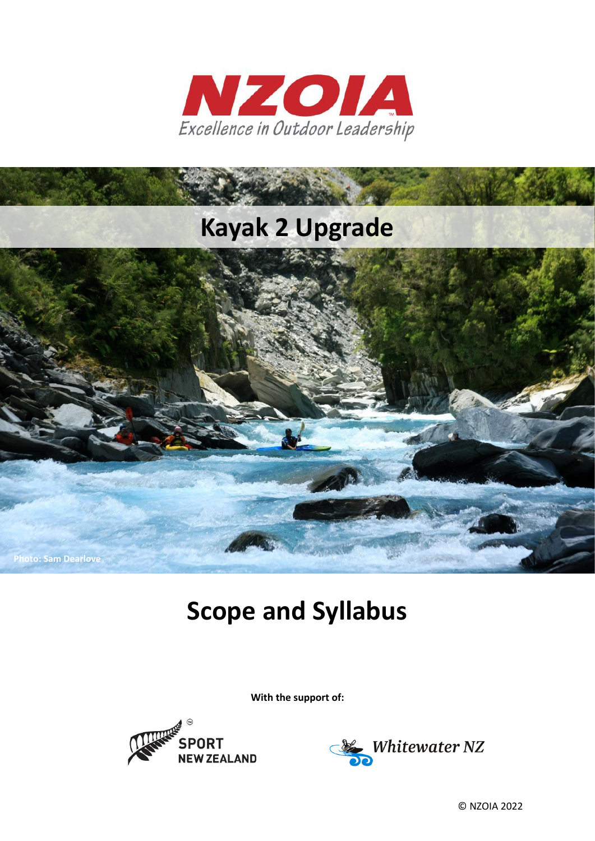



# **Scope and Syllabus**

**With the support of:**





© NZOIA 2022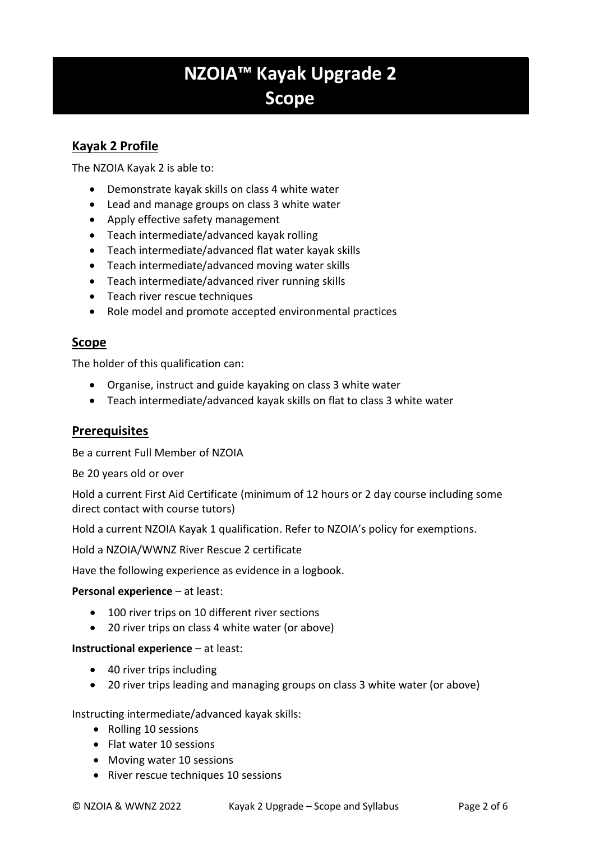# **NZOIA™ Kayak Upgrade 2 Scope**

# **Kayak 2 Profile**

The NZOIA Kayak 2 is able to:

- Demonstrate kayak skills on class 4 white water
- Lead and manage groups on class 3 white water
- Apply effective safety management
- Teach intermediate/advanced kayak rolling
- Teach intermediate/advanced flat water kayak skills
- Teach intermediate/advanced moving water skills
- Teach intermediate/advanced river running skills
- Teach river rescue techniques
- Role model and promote accepted environmental practices

# **Scope**

The holder of this qualification can:

- Organise, instruct and guide kayaking on class 3 white water
- Teach intermediate/advanced kayak skills on flat to class 3 white water

### **Prerequisites**

Be a current Full Member of NZOIA

Be 20 years old or over

Hold a current First Aid Certificate (minimum of 12 hours or 2 day course including some direct contact with course tutors)

Hold a current NZOIA Kayak 1 qualification. Refer to NZOIA's policy for exemptions.

Hold a NZOIA/WWNZ River Rescue 2 certificate

Have the following experience as evidence in a logbook.

#### **Personal experience** – at least:

- 100 river trips on 10 different river sections
- 20 river trips on class 4 white water (or above)

#### **Instructional experience** – at least:

- 40 river trips including
- 20 river trips leading and managing groups on class 3 white water (or above)

Instructing intermediate/advanced kayak skills:

- Rolling 10 sessions
- Flat water 10 sessions
- Moving water 10 sessions
- River rescue techniques 10 sessions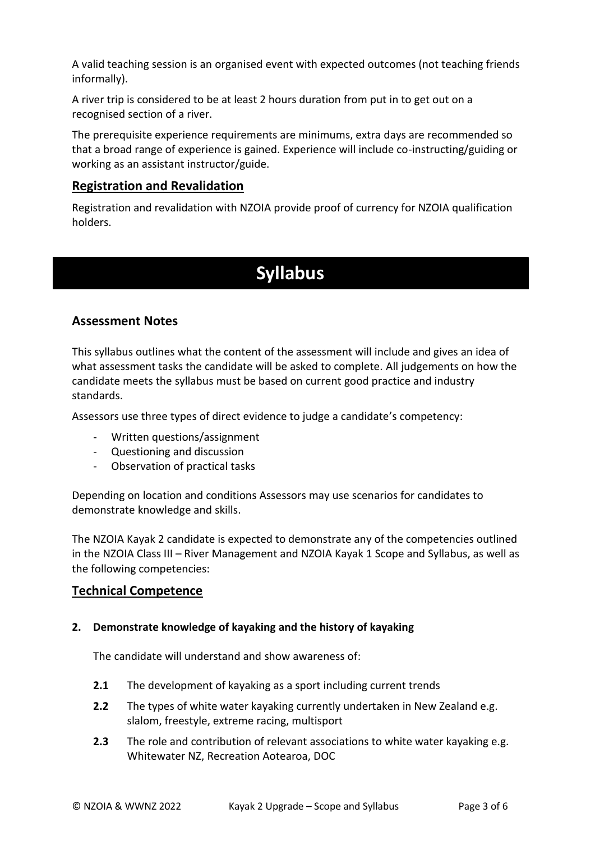A valid teaching session is an organised event with expected outcomes (not teaching friends informally).

A river trip is considered to be at least 2 hours duration from put in to get out on a recognised section of a river.

The prerequisite experience requirements are minimums, extra days are recommended so that a broad range of experience is gained. Experience will include co-instructing/guiding or working as an assistant instructor/guide.

# **Registration and Revalidation**

Registration and revalidation with NZOIA provide proof of currency for NZOIA qualification holders.

# **Syllabus**

# **Assessment Notes**

This syllabus outlines what the content of the assessment will include and gives an idea of what assessment tasks the candidate will be asked to complete. All judgements on how the candidate meets the syllabus must be based on current good practice and industry standards.

Assessors use three types of direct evidence to judge a candidate's competency:

- Written questions/assignment
- Questioning and discussion
- Observation of practical tasks

Depending on location and conditions Assessors may use scenarios for candidates to demonstrate knowledge and skills.

The NZOIA Kayak 2 candidate is expected to demonstrate any of the competencies outlined in the NZOIA Class III – River Management and NZOIA Kayak 1 Scope and Syllabus, as well as the following competencies:

# **Technical Competence**

#### **2. Demonstrate knowledge of kayaking and the history of kayaking**

The candidate will understand and show awareness of:

- **2.1** The development of kayaking as a sport including current trends
- **2.2** The types of white water kayaking currently undertaken in New Zealand e.g. slalom, freestyle, extreme racing, multisport
- **2.3** The role and contribution of relevant associations to white water kayaking e.g. Whitewater NZ, Recreation Aotearoa, DOC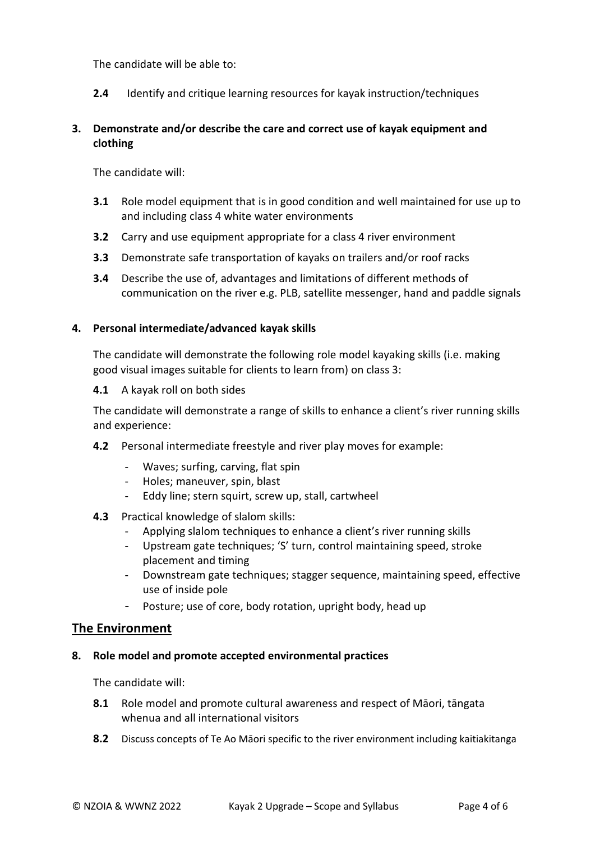The candidate will be able to:

**2.4** Identify and critique learning resources for kayak instruction/techniques

## **3. Demonstrate and/or describe the care and correct use of kayak equipment and clothing**

The candidate will:

- **3.1** Role model equipment that is in good condition and well maintained for use up to and including class 4 white water environments
- **3.2** Carry and use equipment appropriate for a class 4 river environment
- **3.3** Demonstrate safe transportation of kayaks on trailers and/or roof racks
- **3.4** Describe the use of, advantages and limitations of different methods of communication on the river e.g. PLB, satellite messenger, hand and paddle signals

#### **4. Personal intermediate/advanced kayak skills**

The candidate will demonstrate the following role model kayaking skills (i.e. making good visual images suitable for clients to learn from) on class 3:

**4.1** A kayak roll on both sides

The candidate will demonstrate a range of skills to enhance a client's river running skills and experience:

- **4.2** Personal intermediate freestyle and river play moves for example:
	- Waves; surfing, carving, flat spin
	- Holes; maneuver, spin, blast
	- Eddy line; stern squirt, screw up, stall, cartwheel
- **4.3** Practical knowledge of slalom skills:
	- Applying slalom techniques to enhance a client's river running skills
	- Upstream gate techniques; 'S' turn, control maintaining speed, stroke placement and timing
	- Downstream gate techniques; stagger sequence, maintaining speed, effective use of inside pole
	- Posture; use of core, body rotation, upright body, head up

### **The Environment**

#### **8. Role model and promote accepted environmental practices**

The candidate will:

- **8.1** Role model and promote cultural awareness and respect of Māori, tāngata whenua and all international visitors
- **8.2** Discuss concepts of Te Ao Māori specific to the river environment including kaitiakitanga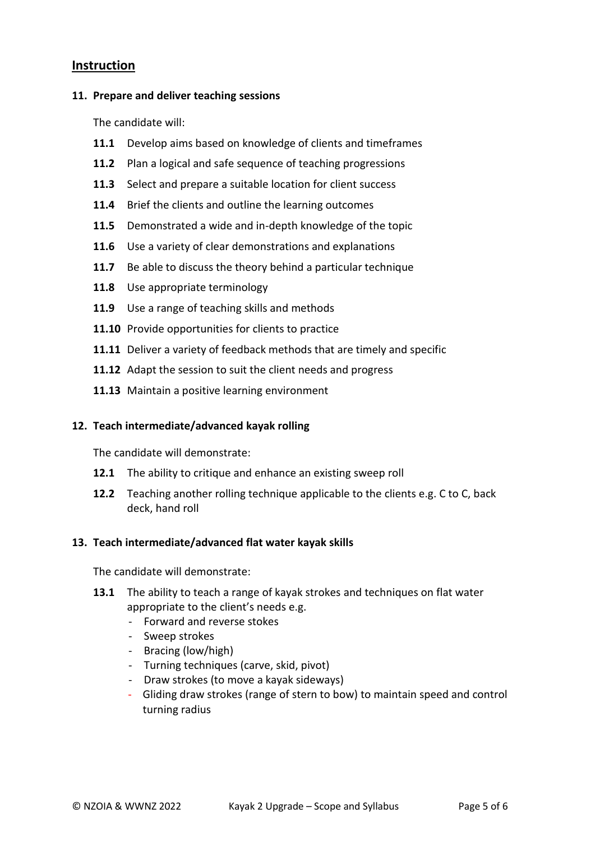# **Instruction**

#### **11. Prepare and deliver teaching sessions**

The candidate will:

- **11.1** Develop aims based on knowledge of clients and timeframes
- **11.2** Plan a logical and safe sequence of teaching progressions
- **11.3** Select and prepare a suitable location for client success
- **11.4** Brief the clients and outline the learning outcomes
- **11.5** Demonstrated a wide and in-depth knowledge of the topic
- **11.6** Use a variety of clear demonstrations and explanations
- **11.7** Be able to discuss the theory behind a particular technique
- **11.8** Use appropriate terminology
- **11.9** Use a range of teaching skills and methods
- **11.10** Provide opportunities for clients to practice
- **11.11** Deliver a variety of feedback methods that are timely and specific
- **11.12** Adapt the session to suit the client needs and progress
- **11.13** Maintain a positive learning environment

### **12. Teach intermediate/advanced kayak rolling**

The candidate will demonstrate:

- **12.1** The ability to critique and enhance an existing sweep roll
- **12.2** Teaching another rolling technique applicable to the clients e.g. C to C, back deck, hand roll

### **13. Teach intermediate/advanced flat water kayak skills**

The candidate will demonstrate:

- **13.1** The ability to teach a range of kayak strokes and techniques on flat water appropriate to the client's needs e.g.
	- Forward and reverse stokes
	- Sweep strokes
	- Bracing (low/high)
	- Turning techniques (carve, skid, pivot)
	- Draw strokes (to move a kayak sideways)
	- Gliding draw strokes (range of stern to bow) to maintain speed and control turning radius